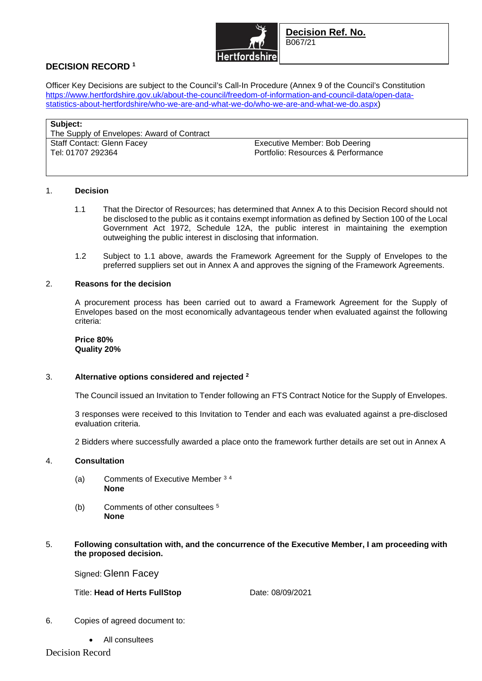

**Decision Ref. No.**  B067/21

# **DECISION RECORD <sup>1</sup>**

Officer Key Decisions are subject to the Council's Call-In Procedure (Annex 9 of the Council's Constitution https://www.hertfordshire.gov.uk/about-the-council/freedom-of-information-and-council-data/open-datastatistics-about-hertfordshire/who-we-are-and-what-we-do/who-we-are-and-what-we-do.aspx)

| Subject:<br>The Supply of Envelopes: Award of Contract |                                    |
|--------------------------------------------------------|------------------------------------|
| <b>Staff Contact: Glenn Facey</b>                      | Executive Member: Bob Deering      |
| Tel: 01707 292364                                      | Portfolio: Resources & Performance |

## 1. **Decision**

- 1.1 That the Director of Resources; has determined that Annex A to this Decision Record should not be disclosed to the public as it contains exempt information as defined by Section 100 of the Local Government Act 1972, Schedule 12A, the public interest in maintaining the exemption outweighing the public interest in disclosing that information.
- 1.2 Subject to 1.1 above, awards the Framework Agreement for the Supply of Envelopes to the preferred suppliers set out in Annex A and approves the signing of the Framework Agreements.

### 2. **Reasons for the decision**

A procurement process has been carried out to award a Framework Agreement for the Supply of Envelopes based on the most economically advantageous tender when evaluated against the following criteria:

#### **Price 80% Quality 20%**

## 3. **Alternative options considered and rejected <sup>2</sup>**

The Council issued an Invitation to Tender following an FTS Contract Notice for the Supply of Envelopes.

3 responses were received to this Invitation to Tender and each was evaluated against a pre-disclosed evaluation criteria.

2 Bidders where successfully awarded a place onto the framework further details are set out in Annex A

#### 4. **Consultation**

- (a) Comments of Executive Member <sup>3</sup> <sup>4</sup> **None**
- (b) Comments of other consultees <sup>5</sup> **None**
- 5. **Following consultation with, and the concurrence of the Executive Member, I am proceeding with the proposed decision.**

Signed: Glenn Facey

Title: **Head of Herts FullStop** Date: 08/09/2021

- 6. Copies of agreed document to:
	- All consultees